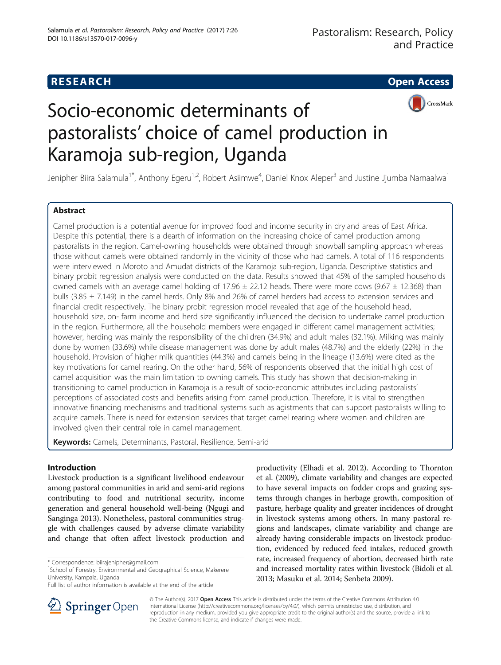## **RESEARCH CHEAR CHEAR CHEAR CHEAR CHEAR CHEAR CHEAR CHEAR CHEAR CHEAR CHEAR CHEAR CHEAR CHEAR CHEAR CHEAR CHEAR**



# Socio-economic determinants of pastoralists' choice of camel production in Karamoja sub-region, Uganda

Jenipher Biira Salamula<sup>1\*</sup>, Anthony Egeru<sup>1,2</sup>, Robert Asiimwe<sup>4</sup>, Daniel Knox Aleper<sup>3</sup> and Justine Jjumba Namaalwa<sup>1</sup>

## Abstract

Camel production is a potential avenue for improved food and income security in dryland areas of East Africa. Despite this potential, there is a dearth of information on the increasing choice of camel production among pastoralists in the region. Camel-owning households were obtained through snowball sampling approach whereas those without camels were obtained randomly in the vicinity of those who had camels. A total of 116 respondents were interviewed in Moroto and Amudat districts of the Karamoja sub-region, Uganda. Descriptive statistics and binary probit regression analysis were conducted on the data. Results showed that 45% of the sampled households owned camels with an average camel holding of 17.96  $\pm$  22.12 heads. There were more cows (9.67  $\pm$  12.368) than bulls (3.85  $\pm$  7.149) in the camel herds. Only 8% and 26% of camel herders had access to extension services and financial credit respectively. The binary probit regression model revealed that age of the household head, household size, on- farm income and herd size significantly influenced the decision to undertake camel production in the region. Furthermore, all the household members were engaged in different camel management activities; however, herding was mainly the responsibility of the children (34.9%) and adult males (32.1%). Milking was mainly done by women (33.6%) while disease management was done by adult males (48.7%) and the elderly (22%) in the household. Provision of higher milk quantities (44.3%) and camels being in the lineage (13.6%) were cited as the key motivations for camel rearing. On the other hand, 56% of respondents observed that the initial high cost of camel acquisition was the main limitation to owning camels. This study has shown that decision-making in transitioning to camel production in Karamoja is a result of socio-economic attributes including pastoralists' perceptions of associated costs and benefits arising from camel production. Therefore, it is vital to strengthen innovative financing mechanisms and traditional systems such as agistments that can support pastoralists willing to acquire camels. There is need for extension services that target camel rearing where women and children are involved given their central role in camel management.

Keywords: Camels, Determinants, Pastoral, Resilience, Semi-arid

## Introduction

Livestock production is a significant livelihood endeavour among pastoral communities in arid and semi-arid regions contributing to food and nutritional security, income generation and general household well-being (Ngugi and Sanginga [2013\)](#page-9-0). Nonetheless, pastoral communities struggle with challenges caused by adverse climate variability and change that often affect livestock production and

productivity (Elhadi et al. [2012\)](#page-8-0). According to Thornton et al. [\(2009](#page-9-0)), climate variability and changes are expected to have several impacts on fodder crops and grazing systems through changes in herbage growth, composition of pasture, herbage quality and greater incidences of drought in livestock systems among others. In many pastoral regions and landscapes, climate variability and change are already having considerable impacts on livestock production, evidenced by reduced feed intakes, reduced growth rate, increased frequency of abortion, decreased birth rate and increased mortality rates within livestock (Bidoli et al. [2013;](#page-8-0) Masuku et al. [2014;](#page-8-0) Senbeta [2009](#page-9-0)).



© The Author(s). 2017 **Open Access** This article is distributed under the terms of the Creative Commons Attribution 4.0 International License ([http://creativecommons.org/licenses/by/4.0/\)](http://creativecommons.org/licenses/by/4.0/), which permits unrestricted use, distribution, and reproduction in any medium, provided you give appropriate credit to the original author(s) and the source, provide a link to the Creative Commons license, and indicate if changes were made.

<sup>\*</sup> Correspondence: [biirajenipher@gmail.com](mailto:biirajenipher@gmail.com) <sup>1</sup>

<sup>&</sup>lt;sup>1</sup>School of Forestry, Environmental and Geographical Science, Makerere University, Kampala, Uganda

Full list of author information is available at the end of the article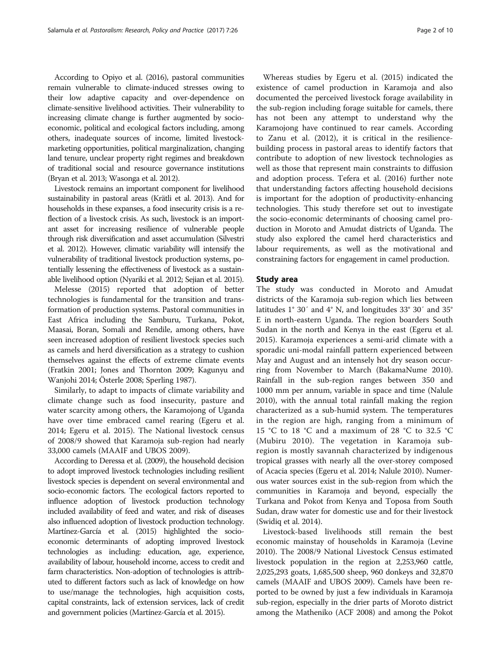According to Opiyo et al. [\(2016](#page-9-0)), pastoral communities remain vulnerable to climate-induced stresses owing to their low adaptive capacity and over-dependence on climate-sensitive livelihood activities. Their vulnerability to increasing climate change is further augmented by socioeconomic, political and ecological factors including, among others, inadequate sources of income, limited livestockmarketing opportunities, political marginalization, changing land tenure, unclear property right regimes and breakdown of traditional social and resource governance institutions (Bryan et al. [2013;](#page-8-0) Wasonga et al. [2012\)](#page-9-0).

Livestock remains an important component for livelihood sustainability in pastoral areas (Krätli et al. [2013\)](#page-8-0). And for households in these expanses, a food insecurity crisis is a reflection of a livestock crisis. As such, livestock is an important asset for increasing resilience of vulnerable people through risk diversification and asset accumulation (Silvestri et al. [2012](#page-9-0)). However, climatic variability will intensify the vulnerability of traditional livestock production systems, potentially lessening the effectiveness of livestock as a sustainable livelihood option (Nyariki et al. [2012;](#page-9-0) Sejian et al. [2015\)](#page-9-0).

Melesse [\(2015](#page-8-0)) reported that adoption of better technologies is fundamental for the transition and transformation of production systems. Pastoral communities in East Africa including the Samburu, Turkana, Pokot, Maasai, Boran, Somali and Rendile, among others, have seen increased adoption of resilient livestock species such as camels and herd diversification as a strategy to cushion themselves against the effects of extreme climate events (Fratkin [2001;](#page-8-0) Jones and Thornton [2009](#page-8-0); Kagunyu and Wanjohi [2014](#page-8-0); Österle [2008;](#page-9-0) Sperling [1987](#page-9-0)).

Similarly, to adapt to impacts of climate variability and climate change such as food insecurity, pasture and water scarcity among others, the Karamojong of Uganda have over time embraced camel rearing (Egeru et al. [2014](#page-8-0); Egeru et al. [2015\)](#page-8-0). The National livestock census of 2008/9 showed that Karamoja sub-region had nearly 33,000 camels (MAAIF and UBOS [2009\)](#page-8-0).

According to Deressa et al. [\(2009](#page-8-0)), the household decision to adopt improved livestock technologies including resilient livestock species is dependent on several environmental and socio-economic factors. The ecological factors reported to influence adoption of livestock production technology included availability of feed and water, and risk of diseases also influenced adoption of livestock production technology. Martínez-García et al. ([2015](#page-8-0)) highlighted the socioeconomic determinants of adopting improved livestock technologies as including: education, age, experience, availability of labour, household income, access to credit and farm characteristics. Non-adoption of technologies is attributed to different factors such as lack of knowledge on how to use/manage the technologies, high acquisition costs, capital constraints, lack of extension services, lack of credit and government policies (Martínez-García et al. [2015](#page-8-0)).

Whereas studies by Egeru et al. ([2015](#page-8-0)) indicated the existence of camel production in Karamoja and also documented the perceived livestock forage availability in the sub-region including forage suitable for camels, there has not been any attempt to understand why the Karamojong have continued to rear camels. According to Zanu et al. [\(2012\)](#page-9-0), it is critical in the resiliencebuilding process in pastoral areas to identify factors that contribute to adoption of new livestock technologies as well as those that represent main constraints to diffusion and adoption process. Tefera et al. ([2016](#page-9-0)) further note that understanding factors affecting household decisions is important for the adoption of productivity-enhancing

technologies. This study therefore set out to investigate the socio-economic determinants of choosing camel production in Moroto and Amudat districts of Uganda. The study also explored the camel herd characteristics and labour requirements, as well as the motivational and constraining factors for engagement in camel production.

## Study area

The study was conducted in Moroto and Amudat districts of the Karamoja sub-region which lies between latitudes 1° 30′ and 4° N, and longitudes 33° 30′ and 35° E in north-eastern Uganda. The region boarders South Sudan in the north and Kenya in the east (Egeru et al. [2015](#page-8-0)). Karamoja experiences a semi-arid climate with a sporadic uni-modal rainfall pattern experienced between May and August and an intensely hot dry season occurring from November to March (BakamaNume [2010](#page-8-0)). Rainfall in the sub-region ranges between 350 and 1000 mm per annum, variable in space and time (Nalule [2010](#page-9-0)), with the annual total rainfall making the region characterized as a sub-humid system. The temperatures in the region are high, ranging from a minimum of 15 °C to 18 °C and a maximum of 28 °C to 32.5 °C (Mubiru [2010](#page-9-0)). The vegetation in Karamoja subregion is mostly savannah characterized by indigenous tropical grasses with nearly all the over-storey composed of Acacia species (Egeru et al. [2014;](#page-8-0) Nalule [2010\)](#page-9-0). Numerous water sources exist in the sub-region from which the communities in Karamoja and beyond, especially the Turkana and Pokot from Kenya and Toposa from South Sudan, draw water for domestic use and for their livestock (Swidiq et al. [2014](#page-9-0)).

Livestock-based livelihoods still remain the best economic mainstay of households in Karamoja (Levine [2010](#page-8-0)). The 2008/9 National Livestock Census estimated livestock population in the region at 2,253,960 cattle, 2,025,293 goats, 1,685,500 sheep, 960 donkeys and 32,870 camels (MAAIF and UBOS [2009](#page-8-0)). Camels have been reported to be owned by just a few individuals in Karamoja sub-region, especially in the drier parts of Moroto district among the Matheniko (ACF [2008](#page-8-0)) and among the Pokot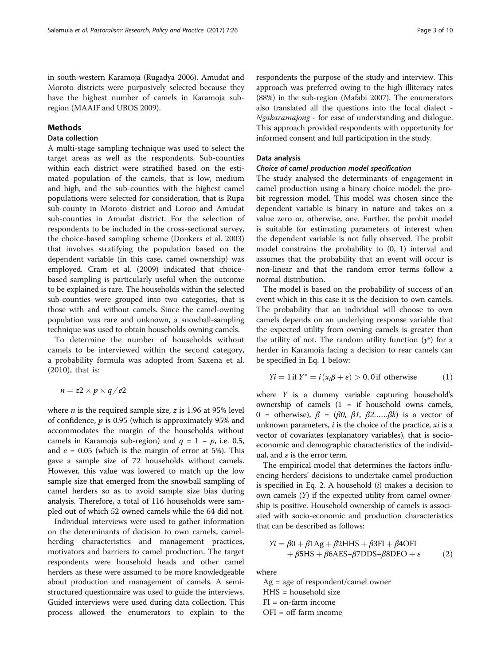in south-western Karamoja (Rugadya [2006\)](#page-9-0). Amudat and Moroto districts were purposively selected because they have the highest number of camels in Karamoja subregion (MAAIF and UBOS [2009\)](#page-8-0).

#### Methods

## Data collection

A multi-stage sampling technique was used to select the target areas as well as the respondents. Sub-counties within each district were stratified based on the estimated population of the camels, that is low, medium and high, and the sub-counties with the highest camel populations were selected for consideration, that is Rupa sub-county in Moroto district and Loroo and Amudat sub-counties in Amudat district. For the selection of respondents to be included in the cross-sectional survey, the choice-based sampling scheme (Donkers et al. [2003](#page-8-0)) that involves stratifying the population based on the dependent variable (in this case, camel ownership) was employed. Cram et al. ([2009\)](#page-8-0) indicated that choicebased sampling is particularly useful when the outcome to be explained is rare. The households within the selected sub-counties were grouped into two categories, that is those with and without camels. Since the camel-owning population was rare and unknown, a snowball-sampling technique was used to obtain households owning camels.

To determine the number of households without camels to be interviewed within the second category, a probability formula was adopted from Saxena et al. ([2010\)](#page-9-0), that is:

$$
n = z2 \times p \times q / e2
$$

where *n* is the required sample size, *z* is 1.96 at 95% level of confidence,  $p$  is 0.95 (which is approximately 95% and accommodates the margin of the households without camels in Karamoja sub-region) and  $q = 1 - p$ , i.e. 0.5, and  $e = 0.05$  (which is the margin of error at 5%). This gave a sample size of 72 households without camels. However, this value was lowered to match up the low sample size that emerged from the snowball sampling of camel herders so as to avoid sample size bias during analysis. Therefore, a total of 116 households were sampled out of which 52 owned camels while the 64 did not.

Individual interviews were used to gather information on the determinants of decision to own camels, camelherding characteristics and management practices, motivators and barriers to camel production. The target respondents were household heads and other camel herders as these were assumed to be more knowledgeable about production and management of camels. A semistructured questionnaire was used to guide the interviews. Guided interviews were used during data collection. This process allowed the enumerators to explain to the

respondents the purpose of the study and interview. This approach was preferred owing to the high illiteracy rates (88%) in the sub-region (Mafabi [2007](#page-8-0)). The enumerators also translated all the questions into the local dialect - Ngakaramajong - for ease of understanding and dialogue. This approach provided respondents with opportunity for informed consent and full participation in the study.

#### Data analysis

## Choice of camel production model specification

The study analysed the determinants of engagement in camel production using a binary choice model: the probit regression model. This model was chosen since the dependent variable is binary in nature and takes on a value zero or, otherwise, one. Further, the probit model is suitable for estimating parameters of interest when the dependent variable is not fully observed. The probit model constrains the probability to (0, 1) interval and assumes that the probability that an event will occur is non-linear and that the random error terms follow a normal distribution.

The model is based on the probability of success of an event which in this case it is the decision to own camels. The probability that an individual will choose to own camels depends on an underlying response variable that the expected utility from owning camels is greater than the utility of not. The random utility function  $(y^*)$  for a herder in Karamoja facing a decision to rear camels can be specified in Eq. 1 below:

$$
Yi = 1
$$
 if  $Y^* = i(x_i\beta + \varepsilon) > 0, 0$  if otherwise (1)

where Y is a dummy variable capturing household'<sup>s</sup> ownership of camels  $(1 = if$  household owns camels, 0 = otherwise),  $β = (β0, β1, β2......βk)$  is a vector of unknown parameters,  $i$  is the choice of the practice,  $xi$  is a vector of covariates (explanatory variables), that is socioeconomic and demographic characteristics of the individual, and  $\varepsilon$  is the error term.

The empirical model that determines the factors influencing herders' decisions to undertake camel production is specified in Eq. 2. A household  $(i)$  makes a decision to own camels  $(Y)$  if the expected utility from camel ownership is positive. Household ownership of camels is associated with socio-economic and production characteristics that can be described as follows:

$$
Yi = \beta 0 + \beta 1Ag + \beta 2HHS + \beta 3FI + \beta 4OFI + \beta 5HS + \beta 6AES - \beta 7DDS - \beta 8DEO + \varepsilon
$$
 (2)

where

Ag = age of respondent/camel owner HHS = household size FI = on-farm income OFI = off-farm income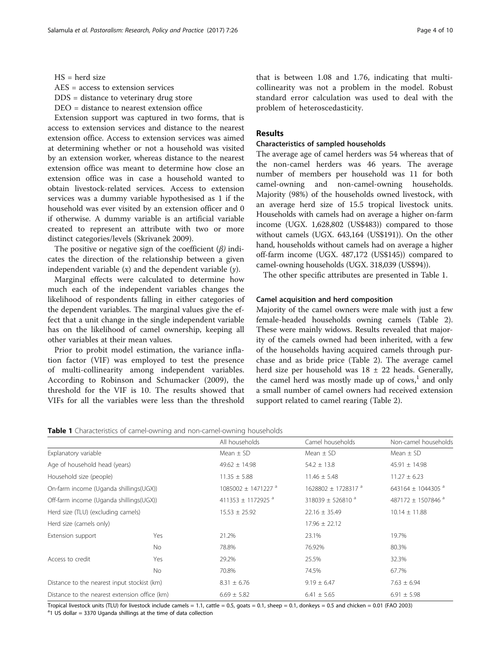AES = access to extension services

- DDS = distance to veterinary drug store
- DEO = distance to nearest extension office

Extension support was captured in two forms, that is access to extension services and distance to the nearest extension office. Access to extension services was aimed at determining whether or not a household was visited by an extension worker, whereas distance to the nearest extension office was meant to determine how close an extension office was in case a household wanted to obtain livestock-related services. Access to extension services was a dummy variable hypothesised as 1 if the household was ever visited by an extension officer and 0 if otherwise. A dummy variable is an artificial variable created to represent an attribute with two or more distinct categories/levels (Skrivanek [2009\)](#page-9-0).

The positive or negative sign of the coefficient  $(\beta)$  indicates the direction of the relationship between a given independent variable  $(x)$  and the dependent variable  $(y)$ .

Marginal effects were calculated to determine how much each of the independent variables changes the likelihood of respondents falling in either categories of the dependent variables. The marginal values give the effect that a unit change in the single independent variable has on the likelihood of camel ownership, keeping all other variables at their mean values.

Prior to probit model estimation, the variance inflation factor (VIF) was employed to test the presence of multi-collinearity among independent variables. According to Robinson and Schumacker [\(2009](#page-9-0)), the threshold for the VIF is 10. The results showed that VIFs for all the variables were less than the threshold that is between 1.08 and 1.76, indicating that multicollinearity was not a problem in the model. Robust standard error calculation was used to deal with the problem of heteroscedasticity.

## Results

#### Characteristics of sampled households

The average age of camel herders was 54 whereas that of the non-camel herders was 46 years. The average number of members per household was 11 for both camel-owning and non-camel-owning households. Majority (98%) of the households owned livestock, with an average herd size of 15.5 tropical livestock units. Households with camels had on average a higher on-farm income (UGX. 1,628,802 (US\$483)) compared to those without camels (UGX. 643,164 (US\$191)). On the other hand, households without camels had on average a higher off-farm income (UGX. 487,172 (US\$145)) compared to camel-owning households (UGX. 318,039 (US\$94)).

The other specific attributes are presented in Table 1.

#### Camel acquisition and herd composition

Majority of the camel owners were male with just a few female-headed households owning camels (Table [2](#page-4-0)). These were mainly widows. Results revealed that majority of the camels owned had been inherited, with a few of the households having acquired camels through purchase and as bride price (Table [2](#page-4-0)). The average camel herd size per household was  $18 \pm 22$  heads. Generally, the camel herd was mostly made up of  $\text{cows},\text{}^{1}$  and only a small number of camel owners had received extension support related to camel rearing (Table [2\)](#page-4-0).

|  |  |  | Table 1 Characteristics of camel-owning and non-camel-owning households |  |
|--|--|--|-------------------------------------------------------------------------|--|
|  |  |  |                                                                         |  |

|                                               |           | All households                     | Camel households                   | Non-camel households          |
|-----------------------------------------------|-----------|------------------------------------|------------------------------------|-------------------------------|
| Explanatory variable                          |           | Mean $\pm$ SD                      | Mean $\pm$ SD                      | Mean $\pm$ SD                 |
| Age of household head (years)                 |           | $49.62 \pm 14.98$                  | $54.2 \pm 13.8$                    | $45.91 \pm 14.98$             |
| Household size (people)                       |           | $11.35 \pm 5.88$                   | $11.46 \pm 5.48$                   | $11.27 \pm 6.23$              |
| On-farm income (Uganda shillings(UGX))        |           | $1085002 \pm 1471227$ <sup>a</sup> | $1628802 \pm 1728317$ <sup>a</sup> | 643164 ± 1044305 $a$          |
| Off-farm income (Uganda shillings(UGX))       |           | 411353 ± 1172925 <sup>a</sup>      | 318039 ± 526810 $a$                | 487172 ± 1507846 <sup>a</sup> |
| Herd size (TLU) (excluding camels)            |           | $15.53 \pm 25.92$                  | $22.16 \pm 35.49$                  | $10.14 \pm 11.88$             |
| Herd size (camels only)                       |           |                                    | $17.96 \pm 22.12$                  |                               |
| Extension support                             | Yes       | 21.2%                              | 23.1%                              | 19.7%                         |
|                                               | <b>No</b> | 78.8%                              | 76.92%                             | 80.3%                         |
| Access to credit                              | Yes       | 29.2%                              | 25.5%                              | 32.3%                         |
|                                               | No.       | 70.8%                              | 74.5%                              | 67.7%                         |
| Distance to the nearest input stockist (km)   |           | $8.31 \pm 6.76$                    | $9.19 \pm 6.47$                    | $7.63 \pm 6.94$               |
| Distance to the nearest extension office (km) |           | $6.69 \pm 5.82$                    | $6.41 \pm 5.65$                    | $6.91 \pm 5.98$               |

Tropical livestock units (TLU) for livestock include camels = 1.1, cattle = 0.5, goats = 0.1, sheep = 0.1, donkeys = 0.5 and chicken = 0.01 (FAO [2003\)](#page-8-0)  $a$ 1 US dollar = 3370 Uganda shillings at the time of data collection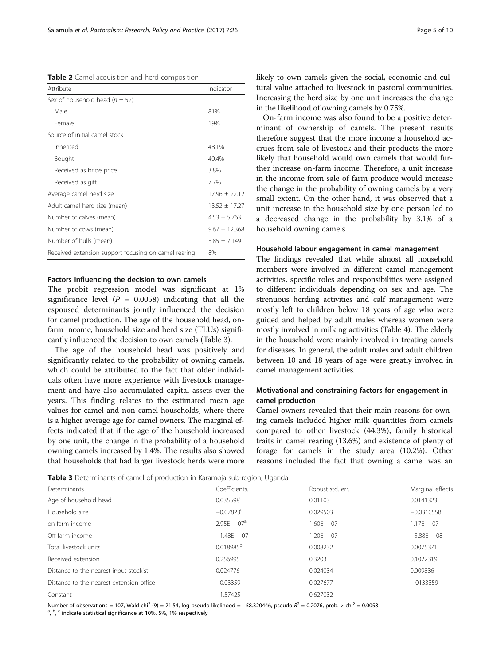<span id="page-4-0"></span>Table 2 Camel acquisition and herd composition

| Attribute                                            | Indicator         |
|------------------------------------------------------|-------------------|
| Sex of household head ( $n = 52$ )                   |                   |
| Male                                                 | 81%               |
| Female                                               | 19%               |
| Source of initial camel stock                        |                   |
| Inherited                                            | 48.1%             |
| Bought                                               | 40.4%             |
| Received as bride price                              | 3.8%              |
| Received as gift                                     | 7.7%              |
| Average camel herd size                              | $17.96 \pm 22.12$ |
| Adult camel herd size (mean)                         | $13.52 \pm 17.27$ |
| Number of calves (mean)                              | $4.53 \pm 5.763$  |
| Number of cows (mean)                                | $9.67 \pm 12.368$ |
| Number of bulls (mean)                               | $3.85 \pm 7.149$  |
| Received extension support focusing on camel rearing | 8%                |

#### Factors influencing the decision to own camels

The probit regression model was significant at 1% significance level  $(P = 0.0058)$  indicating that all the espoused determinants jointly influenced the decision for camel production. The age of the household head, onfarm income, household size and herd size (TLUs) significantly influenced the decision to own camels (Table 3).

The age of the household head was positively and significantly related to the probability of owning camels, which could be attributed to the fact that older individuals often have more experience with livestock management and have also accumulated capital assets over the years. This finding relates to the estimated mean age values for camel and non-camel households, where there is a higher average age for camel owners. The marginal effects indicated that if the age of the household increased by one unit, the change in the probability of a household owning camels increased by 1.4%. The results also showed that households that had larger livestock herds were more likely to own camels given the social, economic and cultural value attached to livestock in pastoral communities. Increasing the herd size by one unit increases the change in the likelihood of owning camels by 0.75%.

On-farm income was also found to be a positive determinant of ownership of camels. The present results therefore suggest that the more income a household accrues from sale of livestock and their products the more likely that household would own camels that would further increase on-farm income. Therefore, a unit increase in the income from sale of farm produce would increase the change in the probability of owning camels by a very small extent. On the other hand, it was observed that a unit increase in the household size by one person led to a decreased change in the probability by 3.1% of a household owning camels.

#### Household labour engagement in camel management

The findings revealed that while almost all household members were involved in different camel management activities, specific roles and responsibilities were assigned to different individuals depending on sex and age. The strenuous herding activities and calf management were mostly left to children below 18 years of age who were guided and helped by adult males whereas women were mostly involved in milking activities (Table [4](#page-5-0)). The elderly in the household were mainly involved in treating camels for diseases. In general, the adult males and adult children between 10 and 18 years of age were greatly involved in camel management activities.

## Motivational and constraining factors for engagement in camel production

Camel owners revealed that their main reasons for owning camels included higher milk quantities from camels compared to other livestock (44.3%), family historical traits in camel rearing (13.6%) and existence of plenty of forage for camels in the study area (10.2%). Other reasons included the fact that owning a camel was an

Table 3 Determinants of camel of production in Karamoja sub-region, Uganda

| <b>TWATE</b> CONTINUES OF CONTICT OF PROGRAMMENT IN FRIGHTIONS SONS REGIONS ORDINARY |                |                  |                  |  |  |
|--------------------------------------------------------------------------------------|----------------|------------------|------------------|--|--|
| Determinants                                                                         | Coefficients.  | Robust std. err. | Marginal effects |  |  |
| Age of household head                                                                | $0.035598^c$   | 0.01103          | 0.0141323        |  |  |
| Household size                                                                       | $-0.07823c$    | 0.029503         | $-0.0310558$     |  |  |
| on-farm income                                                                       | $2.95E - 07a$  | $1.60F - 07$     | $1.17E - 07$     |  |  |
| Off-farm income                                                                      | $-1.48E - 07$  | $1.20E - 07$     | $-5.88E - 08$    |  |  |
| Total livestock units                                                                | $0.018985^{b}$ | 0.008232         | 0.0075371        |  |  |
| Received extension                                                                   | 0.256995       | 0.3203           | 0.1022319        |  |  |
| Distance to the nearest input stockist                                               | 0.024776       | 0.024034         | 0.009836         |  |  |
| Distance to the nearest extension office                                             | $-0.03359$     | 0.027677         | $-0.0133359$     |  |  |
| Constant                                                                             | $-1.57425$     | 0.627032         |                  |  |  |
|                                                                                      |                |                  |                  |  |  |

Number of observations = 107, Wald chi<sup>2</sup> (9) = 21.54, log pseudo likelihood = −58.320446, pseudo  $R^2$  = 0.2076, prob. > chi<sup>2</sup> = 0.0058

, <sup>b</sup>, <sup>c</sup> indicate statistical significance at 10%, 5%, 1% respectively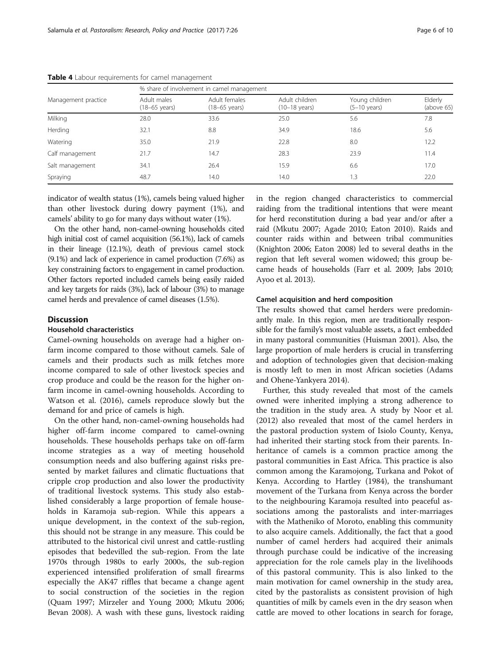|                     | % share of involvement in camel management |                                          |                                           |                                          |                       |  |  |
|---------------------|--------------------------------------------|------------------------------------------|-------------------------------------------|------------------------------------------|-----------------------|--|--|
| Management practice | Adult males<br>$(18-65 \text{ years})$     | Adult females<br>$(18-65 \text{ years})$ | Adult children<br>$(10-18 \text{ years})$ | Young children<br>$(5-10 \text{ years})$ | Elderly<br>(above 65) |  |  |
| Milking             | 28.0                                       | 33.6                                     | 25.0                                      | 5.6                                      | 7.8                   |  |  |
| Herding             | 32.1                                       | 8.8                                      | 34.9                                      | 18.6                                     | 5.6                   |  |  |
| Watering            | 35.0                                       | 21.9                                     | 22.8                                      | 8.0                                      | 12.2                  |  |  |
| Calf management     | 21.7                                       | 14.7                                     | 28.3                                      | 23.9                                     | 11.4                  |  |  |
| Salt management     | 34.1                                       | 26.4                                     | 15.9                                      | 6.6                                      | 17.0                  |  |  |
| Spraying            | 48.7                                       | 14.0                                     | 14.0                                      | 1.3                                      | 22.0                  |  |  |

<span id="page-5-0"></span>Table 4 Labour requirements for camel management

indicator of wealth status (1%), camels being valued higher than other livestock during dowry payment (1%), and camels' ability to go for many days without water (1%).

On the other hand, non-camel-owning households cited high initial cost of camel acquisition (56.1%), lack of camels in their lineage (12.1%), death of previous camel stock (9.1%) and lack of experience in camel production (7.6%) as key constraining factors to engagement in camel production. Other factors reported included camels being easily raided and key targets for raids (3%), lack of labour (3%) to manage camel herds and prevalence of camel diseases (1.5%).

#### **Discussion**

#### Household characteristics

Camel-owning households on average had a higher onfarm income compared to those without camels. Sale of camels and their products such as milk fetches more income compared to sale of other livestock species and crop produce and could be the reason for the higher onfarm income in camel-owning households. According to Watson et al. [\(2016\)](#page-9-0), camels reproduce slowly but the demand for and price of camels is high.

On the other hand, non-camel-owning households had higher off-farm income compared to camel-owning households. These households perhaps take on off-farm income strategies as a way of meeting household consumption needs and also buffering against risks presented by market failures and climatic fluctuations that cripple crop production and also lower the productivity of traditional livestock systems. This study also established considerably a large proportion of female households in Karamoja sub-region. While this appears a unique development, in the context of the sub-region, this should not be strange in any measure. This could be attributed to the historical civil unrest and cattle-rustling episodes that bedevilled the sub-region. From the late 1970s through 1980s to early 2000s, the sub-region experienced intensified proliferation of small firearms especially the AK47 riffles that became a change agent to social construction of the societies in the region (Quam [1997](#page-9-0); Mirzeler and Young [2000;](#page-8-0) Mkutu [2006](#page-8-0); Bevan [2008\)](#page-8-0). A wash with these guns, livestock raiding in the region changed characteristics to commercial raiding from the traditional intentions that were meant for herd reconstitution during a bad year and/or after a raid (Mkutu [2007;](#page-8-0) Agade [2010](#page-8-0); Eaton [2010](#page-8-0)). Raids and counter raids within and between tribal communities (Knighton [2006](#page-8-0); Eaton [2008](#page-8-0)) led to several deaths in the region that left several women widowed; this group became heads of households (Farr et al. [2009;](#page-8-0) Jabs [2010](#page-8-0); Ayoo et al. [2013](#page-8-0)).

#### Camel acquisition and herd composition

The results showed that camel herders were predominantly male. In this region, men are traditionally responsible for the family's most valuable assets, a fact embedded in many pastoral communities (Huisman [2001\)](#page-8-0). Also, the large proportion of male herders is crucial in transferring and adoption of technologies given that decision-making is mostly left to men in most African societies (Adams and Ohene-Yankyera [2014](#page-8-0)).

Further, this study revealed that most of the camels owned were inherited implying a strong adherence to the tradition in the study area. A study by Noor et al. ([2012\)](#page-9-0) also revealed that most of the camel herders in the pastoral production system of Isiolo County, Kenya, had inherited their starting stock from their parents. Inheritance of camels is a common practice among the pastoral communities in East Africa. This practice is also common among the Karamojong, Turkana and Pokot of Kenya. According to Hartley ([1984](#page-8-0)), the transhumant movement of the Turkana from Kenya across the border to the neighbouring Karamoja resulted into peaceful associations among the pastoralists and inter-marriages with the Matheniko of Moroto, enabling this community to also acquire camels. Additionally, the fact that a good number of camel herders had acquired their animals through purchase could be indicative of the increasing appreciation for the role camels play in the livelihoods of this pastoral community. This is also linked to the main motivation for camel ownership in the study area, cited by the pastoralists as consistent provision of high quantities of milk by camels even in the dry season when cattle are moved to other locations in search for forage,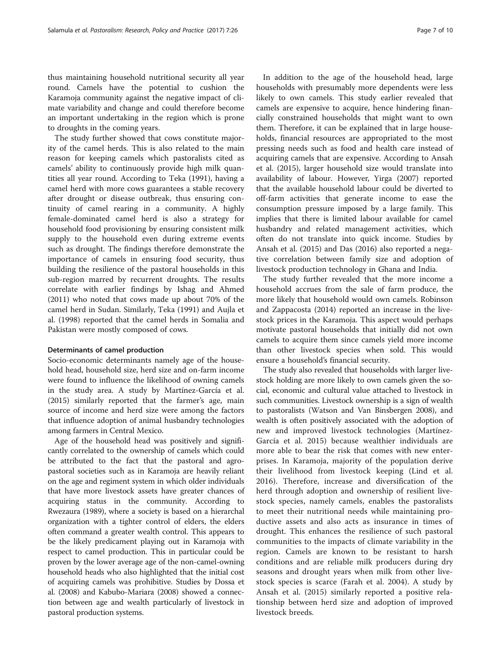thus maintaining household nutritional security all year round. Camels have the potential to cushion the Karamoja community against the negative impact of climate variability and change and could therefore become an important undertaking in the region which is prone to droughts in the coming years.

The study further showed that cows constitute majority of the camel herds. This is also related to the main reason for keeping camels which pastoralists cited as camels' ability to continuously provide high milk quantities all year round. According to Teka ([1991](#page-9-0)), having a camel herd with more cows guarantees a stable recovery after drought or disease outbreak, thus ensuring continuity of camel rearing in a community. A highly female-dominated camel herd is also a strategy for household food provisioning by ensuring consistent milk supply to the household even during extreme events such as drought. The findings therefore demonstrate the importance of camels in ensuring food security, thus building the resilience of the pastoral households in this sub-region marred by recurrent droughts. The results correlate with earlier findings by Ishag and Ahmed ([2011](#page-8-0)) who noted that cows made up about 70% of the camel herd in Sudan. Similarly, Teka [\(1991\)](#page-9-0) and Aujla et al. ([1998](#page-8-0)) reported that the camel herds in Somalia and Pakistan were mostly composed of cows.

#### Determinants of camel production

Socio-economic determinants namely age of the household head, household size, herd size and on-farm income were found to influence the likelihood of owning camels in the study area. A study by Martínez-García et al. ([2015](#page-8-0)) similarly reported that the farmer's age, main source of income and herd size were among the factors that influence adoption of animal husbandry technologies among farmers in Central Mexico.

Age of the household head was positively and significantly correlated to the ownership of camels which could be attributed to the fact that the pastoral and agropastoral societies such as in Karamoja are heavily reliant on the age and regiment system in which older individuals that have more livestock assets have greater chances of acquiring status in the community. According to Rwezaura ([1989\)](#page-9-0), where a society is based on a hierarchal organization with a tighter control of elders, the elders often command a greater wealth control. This appears to be the likely predicament playing out in Karamoja with respect to camel production. This in particular could be proven by the lower average age of the non-camel-owning household heads who also highlighted that the initial cost of acquiring camels was prohibitive. Studies by Dossa et al. [\(2008\)](#page-8-0) and Kabubo-Mariara [\(2008](#page-8-0)) showed a connection between age and wealth particularly of livestock in pastoral production systems.

In addition to the age of the household head, large households with presumably more dependents were less likely to own camels. This study earlier revealed that camels are expensive to acquire, hence hindering financially constrained households that might want to own them. Therefore, it can be explained that in large households, financial resources are appropriated to the most pressing needs such as food and health care instead of acquiring camels that are expensive. According to Ansah et al. ([2015](#page-8-0)), larger household size would translate into availability of labour. However, Yirga [\(2007\)](#page-9-0) reported that the available household labour could be diverted to off-farm activities that generate income to ease the consumption pressure imposed by a large family. This implies that there is limited labour available for camel husbandry and related management activities, which often do not translate into quick income. Studies by Ansah et al. ([2015](#page-8-0)) and Das ([2016](#page-8-0)) also reported a negative correlation between family size and adoption of livestock production technology in Ghana and India.

The study further revealed that the more income a household accrues from the sale of farm produce, the more likely that household would own camels. Robinson and Zappacosta ([2014\)](#page-9-0) reported an increase in the livestock prices in the Karamoja. This aspect would perhaps motivate pastoral households that initially did not own camels to acquire them since camels yield more income than other livestock species when sold. This would ensure a household's financial security.

The study also revealed that households with larger livestock holding are more likely to own camels given the social, economic and cultural value attached to livestock in such communities. Livestock ownership is a sign of wealth to pastoralists (Watson and Van Binsbergen [2008\)](#page-9-0), and wealth is often positively associated with the adoption of new and improved livestock technologies (Martínez-García et al. [2015](#page-8-0)) because wealthier individuals are more able to bear the risk that comes with new enterprises. In Karamoja, majority of the population derive their livelihood from livestock keeping (Lind et al. [2016\)](#page-8-0). Therefore, increase and diversification of the herd through adoption and ownership of resilient livestock species, namely camels, enables the pastoralists to meet their nutritional needs while maintaining productive assets and also acts as insurance in times of drought. This enhances the resilience of such pastoral communities to the impacts of climate variability in the region. Camels are known to be resistant to harsh conditions and are reliable milk producers during dry seasons and drought years when milk from other livestock species is scarce (Farah et al. [2004](#page-8-0)). A study by Ansah et al. [\(2015](#page-8-0)) similarly reported a positive relationship between herd size and adoption of improved livestock breeds.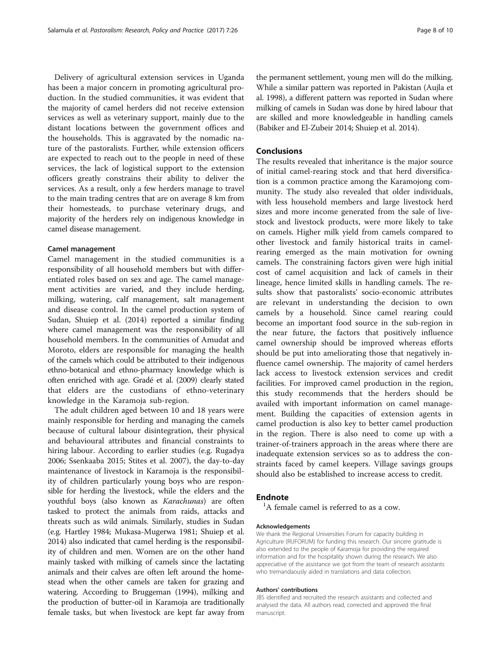Delivery of agricultural extension services in Uganda has been a major concern in promoting agricultural production. In the studied communities, it was evident that the majority of camel herders did not receive extension services as well as veterinary support, mainly due to the distant locations between the government offices and the households. This is aggravated by the nomadic nature of the pastoralists. Further, while extension officers are expected to reach out to the people in need of these services, the lack of logistical support to the extension officers greatly constrains their ability to deliver the services. As a result, only a few herders manage to travel to the main trading centres that are on average 8 km from their homesteads, to purchase veterinary drugs, and majority of the herders rely on indigenous knowledge in camel disease management.

#### Camel management

Camel management in the studied communities is a responsibility of all household members but with differentiated roles based on sex and age. The camel management activities are varied, and they include herding, milking, watering, calf management, salt management and disease control. In the camel production system of Sudan, Shuiep et al. ([2014](#page-9-0)) reported a similar finding where camel management was the responsibility of all household members. In the communities of Amudat and Moroto, elders are responsible for managing the health of the camels which could be attributed to their indigenous ethno-botanical and ethno-pharmacy knowledge which is often enriched with age. Gradé et al. ([2009\)](#page-8-0) clearly stated that elders are the custodians of ethno-veterinary knowledge in the Karamoja sub-region.

The adult children aged between 10 and 18 years were mainly responsible for herding and managing the camels because of cultural labour disintegration, their physical and behavioural attributes and financial constraints to hiring labour. According to earlier studies (e.g. Rugadya [2006](#page-9-0); Ssenkaaba [2015](#page-9-0); Stites et al. [2007\)](#page-9-0), the day-to-day maintenance of livestock in Karamoja is the responsibility of children particularly young boys who are responsible for herding the livestock, while the elders and the youthful boys (also known as Karachunas) are often tasked to protect the animals from raids, attacks and threats such as wild animals. Similarly, studies in Sudan (e.g. Hartley [1984;](#page-8-0) Mukasa-Mugerwa [1981](#page-9-0); Shuiep et al. [2014\)](#page-9-0) also indicated that camel herding is the responsibility of children and men. Women are on the other hand mainly tasked with milking of camels since the lactating animals and their calves are often left around the homestead when the other camels are taken for grazing and watering. According to Bruggeman [\(1994\)](#page-8-0), milking and the production of butter-oil in Karamoja are traditionally female tasks, but when livestock are kept far away from

the permanent settlement, young men will do the milking. While a similar pattern was reported in Pakistan (Aujla et al. [1998\)](#page-8-0), a different pattern was reported in Sudan where milking of camels in Sudan was done by hired labour that are skilled and more knowledgeable in handling camels (Babiker and El-Zubeir [2014;](#page-8-0) Shuiep et al. [2014](#page-9-0)).

## Conclusions

The results revealed that inheritance is the major source of initial camel-rearing stock and that herd diversification is a common practice among the Karamojong community. The study also revealed that older individuals, with less household members and large livestock herd sizes and more income generated from the sale of livestock and livestock products, were more likely to take on camels. Higher milk yield from camels compared to other livestock and family historical traits in camelrearing emerged as the main motivation for owning camels. The constraining factors given were high initial cost of camel acquisition and lack of camels in their lineage, hence limited skills in handling camels. The results show that pastoralists' socio-economic attributes are relevant in understanding the decision to own camels by a household. Since camel rearing could become an important food source in the sub-region in the near future, the factors that positively influence camel ownership should be improved whereas efforts should be put into ameliorating those that negatively influence camel ownership. The majority of camel herders lack access to livestock extension services and credit facilities. For improved camel production in the region, this study recommends that the herders should be availed with important information on camel management. Building the capacities of extension agents in camel production is also key to better camel production in the region. There is also need to come up with a trainer-of-trainers approach in the areas where there are inadequate extension services so as to address the constraints faced by camel keepers. Village savings groups should also be established to increase access to credit.

## Endnote

<sup>1</sup>A female camel is referred to as a cow.

#### Acknowledgements

We thank the Regional Universities Forum for capacity building in Agriculture (RUFORUM) for funding this research. Our sincere gratitude is also extended to the people of Karamoja for providing the required information and for the hospitality shown during the research. We also appreciative of the assistance we got from the team of research assistants who tremandaously aided in translations and data collection.

#### Authors' contributions

JBS identified and recruited the research assistants and collected and analysed the data. All authors read, corrected and approved the final manuscript.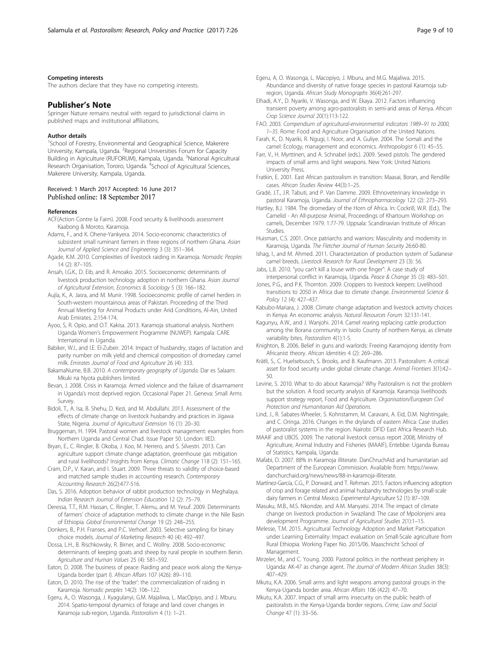#### <span id="page-8-0"></span>Competing interests

The authors declare that they have no competing interests.

#### Publisher's Note

Springer Nature remains neutral with regard to jurisdictional claims in published maps and institutional affiliations.

#### Author details

<sup>1</sup>School of Forestry, Environmental and Geographical Science, Makerere University, Kampala, Uganda. <sup>2</sup> Regional Universities Forum for Capacity Building in Agriculture (RUFORUM), Kampala, Uganda. <sup>3</sup>National Agricultural Research Organisation, Tororo, Uganda. <sup>4</sup>School of Agricultural Sciences, Makerere University, Kampala, Uganda.

#### Received: 1 March 2017 Accepted: 16 June 2017 Published online: 18 September 2017

#### References

- ACF(Action Contre la Faim). 2008. Food security & livelihoods assessment Kaabong & Moroto, Karamoja.
- Adams, F., and K. Ohene-Yankyera. 2014. Socio-economic characteristics of subsistent small ruminant farmers in three regions of northern Ghana. Asian Journal of Applied Science and Engineering 3 (3): 351–364.
- Agade, K.M. 2010. Complexities of livestock raiding in Karamoja. Nomadic Peoples 14 (2): 87–105.
- Ansah, I.G.K., D. Eib, and R. Amoako. 2015. Socioeconomic determinants of livestock production technology adoption in northern Ghana. Asian Journal of Agricultural Extension, Economics & Sociology 5 (3): 166–182.
- Aujla, K., A. Jasra, and M. Munir. 1998. Socioeconomic profile of camel herders in South-western mountainous areas of Pakistan. Proceeding of the Third Annual Meeting for Animal Products under Arid Conditions, Al-Ain, United Arab Emirates. 2:154-174.
- Ayoo, S, R. Opio, and O.T. Kakisa. 2013. Karamoja situational analysis. Northern Uganda Women's Empowerment Programme (NUWEP). Kampala: CARE International in Uganda.
- Babiker, W.I., and I.E. El-Zubeir. 2014. Impact of husbandry, stages of lactation and parity number on milk yield and chemical composition of dromedary camel milk. Emirates Journal of Food and Agriculture 26 (4): 333.
- BakamaNume, B.B. 2010. A contemporary geography of Uganda. Dar es Salaam: Mkuki na Nyota publishers limited.
- Bevan, J. 2008. Crisis in Karamoja: Armed violence and the failure of disarmament in Uganda's most deprived region. Occasional Paper 21. Geneva: Small Arms Survey.
- Bidoli, T., A. Isa, B. Shehu, D. Kezi, and M. Abdullahi. 2013. Assessment of the effects of climate change on livestock husbandry and practices in Jigawa State, Nigeria. Journal of Agricultural Extension 16 (1): 20–30.
- Bruggeman, H. 1994. Pastoral women and livestock management: examples from Northern Uganda and Central Chad. Issue Paper 50. London: IIED.
- Bryan, E., C. Ringler, B. Okoba, J. Koo, M. Herrero, and S. Silvestri. 2013. Can agriculture support climate change adaptation, greenhouse gas mitigation and rural livelihoods? Insights from Kenya. Climatic Change 118 (2): 151-165.
- Cram, D.P., V. Karan, and I. Stuart. 2009. Three threats to validity of choice-based and matched sample studies in accounting research. Contemporary Accounting Research 26(2):477-516.
- Das, S. 2016. Adoption behavior of rabbit production technology in Meghalaya. Indian Research Journal of Extension Education 12 (2): 75–79.
- Deressa, T.T., R.M. Hassan, C. Ringler, T. Alemu, and M. Yesuf. 2009. Determinants of farmers' choice of adaptation methods to climate change in the Nile Basin of Ethiopia. Global Environmental Change 19 (2): 248–255.
- Donkers, B., P.H. Franses, and P.C. Verhoef. 2003. Selective sampling for binary choice models. Journal of Marketing Research 40 (4): 492–497.
- Dossa, L.H., B. Rischkowsky, R. Birner, and C. Wollny. 2008. Socio-economic determinants of keeping goats and sheep by rural people in southern Benin. Agriculture and Human Values 25 (4): 581–592.
- Eaton, D. 2008. The business of peace: Raiding and peace work along the Kenya-Uganda border (part I). African Affairs 107 (426): 89–110.
- Eaton, D. 2010. The rise of the 'trader': the commercialization of raiding in Karamoja. Nomadic peoples 14(2): 106–122.
- Egeru, A., O. Wasonga, J. Kyagulanyi, G.M. Majaliwa, L. MacOpiyo, and J. Mburu. 2014. Spatio-temporal dynamics of forage and land cover changes in Karamoja sub-region, Uganda. Pastoralism 4 (1): 1–21.
- Egeru, A, O. Wasonga, L. Macopiyo, J. Mburu, and M.G. Majaliwa. 2015. Abundance and diversity of native forage species in pastoral Karamoja subregion, Uganda. African Study Monographs 36(4):261-297.
- Elhadi, A.Y., D. Nyariki, V. Wasonga, and W. Ekaya. 2012. Factors influencing transient poverty among agro-pastoralists in semi-arid areas of Kenya. African Crop Science Journal 20(1):113-122.
- FAO. 2003. Compendium of agricultural-environmental indicators 1989–91 to 2000, 1–35. Rome: Food and Agriculture Organisation of the United Nations.
- Farah, K., D. Nyariki, R. Ngugi, I. Noor, and A. Guliye. 2004. The Somali and the camel: Ecology, management and economics. Anthropologist 6 (1): 45–55.
- Farr, V., H. Myrttinen, and A. Schnabel (eds.). 2009. Sexed pistols: The gendered impacts of small arms and light weapons. New York: United Nations University Press.
- Fratkin, E. 2001. East African pastoralism in transition: Maasai, Boran, and Rendille cases. African Studies Review 44(3):1–25.
- Gradé, J.T., J.R. Tabuti, and P. Van Damme. 2009. Ethnoveterinary knowledge in pastoral Karamoja, Uganda. Journal of Ethnopharmacology 122 (2): 273–293.
- Hartley, B.J. 1984. The dromedary of the Horn of Africa. In: Cockrill, W.R. (Ed.), The Camelid - An All-purpose Animal, Proceedings of Khartoum Workshop on camels, December 1979. 1:77-79. Uppsala: Scandinavian Institute of African Studies.
- Huisman, C.S. 2001. Once patriarchs and warriors: Masculinity and modernity in Karamoja, Uganda. The Fletcher Journal of Human Security 26:60-80.
- Ishag, I., and M. Ahmed. 2011. Characterization of production system of Sudanese camel breeds. Livestock Research for Rural Development 23 (3): 56.
- Jabs, L.B. 2010. "you can't kill a louse with one finger": A case study of interpersonal conflict in Karamoja, Uganda. Peace & Change 35 (3): 483–501.
- Jones, P.G., and P.K. Thornton. 2009. Croppers to livestock keepers: Livelihood transitions to 2050 in Africa due to climate change. Environmental Science & Policy 12 (4): 427–437.
- Kabubo-Mariara, J. 2008. Climate change adaptation and livestock activity choices in Kenya: An economic analysis. Natural Resources Forum 32:131-141.
- Kagunyu, A.W., and J. Wanjohi. 2014. Camel rearing replacing cattle production among the Borana community in Isiolo County of northern Kenya, as climate variability bites. Pastoralism 4(1):1-5.
- Knighton, B. 2006. Belief in guns and warlords: Freeing Karamojong identity from Africanist theory. African Identities 4 (2): 269–286.
- Krätli, S., C. Huelsebusch, S. Brooks, and B. Kaufmann. 2013. Pastoralism: A critical asset for food security under global climate change. Animal Frontiers 3(1):42– 50.
- Levine, S. 2010. What to do about Karamoja? Why Pastoralism is not the problem but the solution. A food security analysis of Karamoja. Karamoja livelihoods support strategy report, Food and Agriculture. Organisation/European Civil Protection and Humanitarian Aid Operations.
- Lind, J., R. Sabates-Wheeler, S. Kohnstamm, M. Caravani, A. Eid, D.M. Nightingale, and C. Oringa. 2016. Changes in the drylands of eastern Africa: Case studies of pastoralist systems in the region. Nairobi: DFID East Africa Research Hub.
- MAAIF and UBOS. 2009. The national livestock census report 2008, Ministry of Agriculture, Animal Industry and Fisheries (MAAIF), Entebbe: Uganda Bureau of Statistics, Kampala, Uganda.
- Mafabi, D. 2007. 88% in Karamoja illiterate. DanChruchAid and humanitarian aid Department of the European Commission. Available from: [https://www.](https://www.danchurchaid.org/news/news/88-in-karamoja-illiterate) [danchurchaid.org/news/news/88-in-karamoja-illiterate.](https://www.danchurchaid.org/news/news/88-in-karamoja-illiterate)
- Martínez-García, C.G., P. Dorward, and T. Rehman. 2015. Factors influencing adoption of crop and forage related and animal husbandry technologies by small-scale dairy farmers in Central Mexico. Experimental Agriculture 52 (1): 87–109.
- Masuku, M.B., M.S. Nkondze, and A.M. Manyatsi. 2014. The impact of climate change on livestock production in Swaziland: The case of Mpolonjeni area development Programme. Journal of Agricultural Studies 2(1):1–15.
- Melesse, T.M. 2015. Agricultural Technology Adoption and Market Participation under Learning Externality: Impact evaluation on Small-Scale agriculture from Rural Ethiopia. Working Paper No. 2015/06. Maaschricht School of Management.
- Mirzeler, M., and C. Young. 2000. Pastoral politics in the northeast periphery in Uganda: AK-47 as change agent. The Journal of Modern African Studies 38(3): 407–429.
- Mkutu, K.A. 2006. Small arms and light weapons among pastoral groups in the Kenya-Uganda border area. African Affairs 106 (422): 47–70.
- Mkutu, K.A. 2007. Impact of small arms insecurity on the public health of pastoralists in the Kenya-Uganda border regions. Crime, Law and Social Change 47 (1): 33–56.